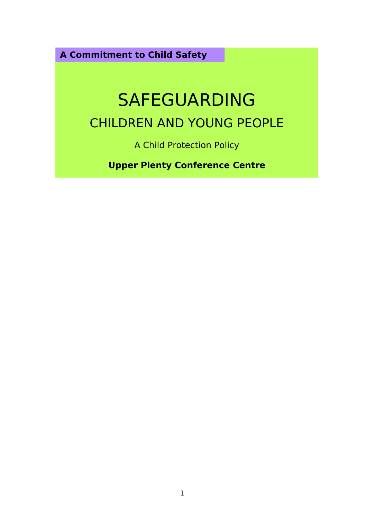**A Commitment to Child Safety**

# SAFEGUARDING CHILDREN AND YOUNG PEOPLE

A Child Protection Policy

**Upper Plenty Conference Centre**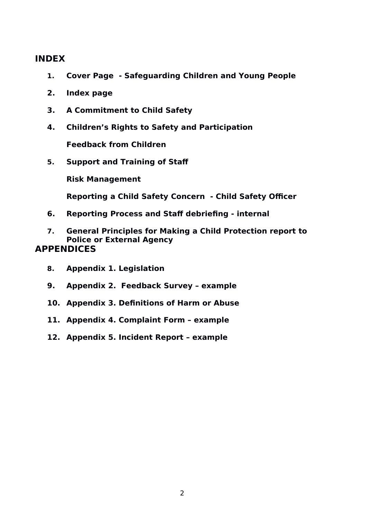## **INDEX**

- **1. Cover Page Safeguarding Children and Young People**
- **2. Index page**
- **3. A Commitment to Child Safety**
- **4. Children's Rights to Safety and Participation**

**Feedback from Children**

**5. Support and Training of Staff**

**Risk Management**

**Reporting a Child Safety Concern - Child Safety Officer**

- **6. Reporting Process and Staff debriefing internal**
- **7. General Principles for Making a Child Protection report to Police or External Agency APPENDICES**
	- **8. Appendix 1. Legislation**
	- **9. Appendix 2. Feedback Survey example**
	- **10. Appendix 3. Definitions of Harm or Abuse**
	- **11. Appendix 4. Complaint Form example**
	- **12. Appendix 5. Incident Report example**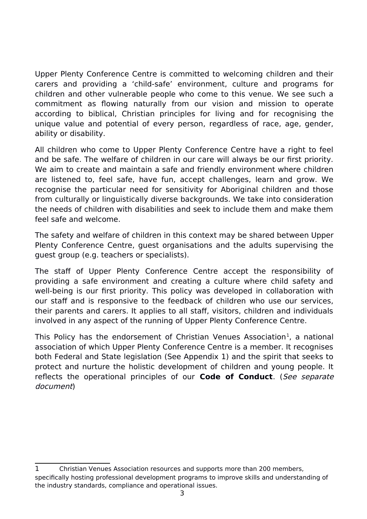Upper Plenty Conference Centre is committed to welcoming children and their carers and providing a 'child-safe' environment, culture and programs for children and other vulnerable people who come to this venue. We see such a commitment as flowing naturally from our vision and mission to operate according to biblical, Christian principles for living and for recognising the unique value and potential of every person, regardless of race, age, gender, ability or disability.

All children who come to Upper Plenty Conference Centre have a right to feel and be safe. The welfare of children in our care will always be our first priority. We aim to create and maintain a safe and friendly environment where children are listened to, feel safe, have fun, accept challenges, learn and grow. We recognise the particular need for sensitivity for Aboriginal children and those from culturally or linguistically diverse backgrounds. We take into consideration the needs of children with disabilities and seek to include them and make them feel safe and welcome.

The safety and welfare of children in this context may be shared between Upper Plenty Conference Centre, guest organisations and the adults supervising the guest group (e.g. teachers or specialists).

The staff of Upper Plenty Conference Centre accept the responsibility of providing a safe environment and creating a culture where child safety and well-being is our first priority. This policy was developed in collaboration with our staff and is responsive to the feedback of children who use our services, their parents and carers. It applies to all staff, visitors, children and individuals involved in any aspect of the running of Upper Plenty Conference Centre.

<span id="page-2-0"></span>This Policy has the endorsement of Christian Venues Association<sup>[1](#page-2-1)</sup>, a national association of which Upper Plenty Conference Centre is a member. It recognises both Federal and State legislation (See Appendix 1) and the spirit that seeks to protect and nurture the holistic development of children and young people. It reflects the operational principles of our **Code of Conduct**. (See separate document)

<span id="page-2-1"></span>[<sup>1</sup>](#page-2-0) Christian Venues Association resources and supports more than 200 members, specifically hosting professional development programs to improve skills and understanding of the industry standards, compliance and operational issues.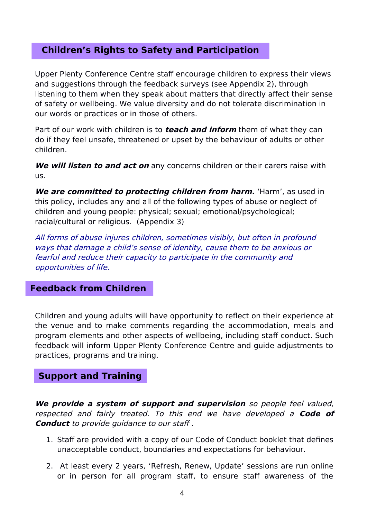## **Children's Rights to Safety and Participation**

Upper Plenty Conference Centre staff encourage children to express their views and suggestions through the feedback surveys (see Appendix 2), through listening to them when they speak about matters that directly affect their sense of safety or wellbeing. We value diversity and do not tolerate discrimination in our words or practices or in those of others.

Part of our work with children is to **teach and inform** them of what they can do if they feel unsafe, threatened or upset by the behaviour of adults or other children.

**We will listen to and act on** any concerns children or their carers raise with us.

**We are committed to protecting children from harm.** 'Harm', as used in this policy, includes any and all of the following types of abuse or neglect of children and young people: physical; sexual; emotional/psychological; racial/cultural or religious. (Appendix 3)

All forms of abuse injures children, sometimes visibly, but often in profound ways that damage a child's sense of identity, cause them to be anxious or fearful and reduce their capacity to participate in the community and opportunities of life.

## **Feedback from Children**

Children and young adults will have opportunity to reflect on their experience at the venue and to make comments regarding the accommodation, meals and program elements and other aspects of wellbeing, including staff conduct. Such feedback will inform Upper Plenty Conference Centre and guide adjustments to practices, programs and training.

## **Support and Training**

**We provide a system of support and supervision** so people feel valued, respected and fairly treated. To this end we have developed <sup>a</sup> **Code of Conduct** to provide quidance to our staff.

- 1. Staff are provided with a copy of our Code of Conduct booklet that defines unacceptable conduct, boundaries and expectations for behaviour.
- 2. At least every 2 years, 'Refresh, Renew, Update' sessions are run online or in person for all program staff, to ensure staff awareness of the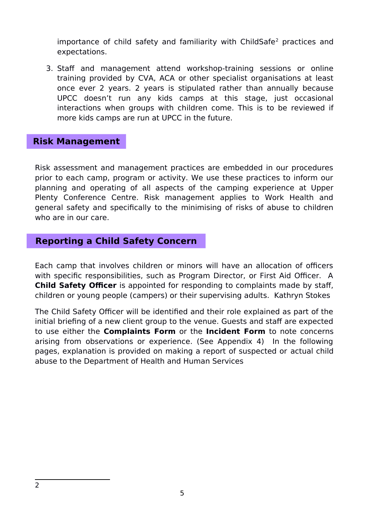<span id="page-4-0"></span>importance of child safety and familiarity with ChildSafe<sup>[2](#page-4-1)</sup> practices and expectations.

3. Staff and management attend workshop-training sessions or online training provided by CVA, ACA or other specialist organisations at least once ever 2 years. 2 years is stipulated rather than annually because UPCC doesn't run any kids camps at this stage, just occasional interactions when groups with children come. This is to be reviewed if more kids camps are run at UPCC in the future.

## **Risk Management**

Risk assessment and management practices are embedded in our procedures prior to each camp, program or activity. We use these practices to inform our planning and operating of all aspects of the camping experience at Upper Plenty Conference Centre. Risk management applies to Work Health and general safety and specifically to the minimising of risks of abuse to children who are in our care.

## **Reporting a Child Safety Concern**

Each camp that involves children or minors will have an allocation of officers with specific responsibilities, such as Program Director, or First Aid Officer. A **Child Safety Officer** is appointed for responding to complaints made by staff, children or young people (campers) or their supervising adults. Kathryn Stokes

<span id="page-4-1"></span>The Child Safety Officer will be identified and their role explained as part of the initial briefing of a new client group to the venue. Guests and staff are expected to use either the **Complaints Form** or the **Incident Form** to note concerns arising from observations or experience. (See Appendix 4) In the following pages, explanation is provided on making a report of suspected or actual child abuse to the Department of Health and Human Services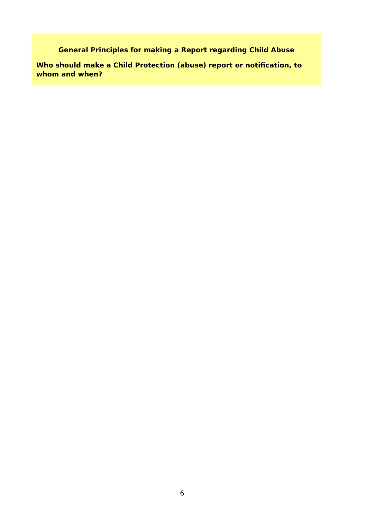**General Principles for making a Report regarding Child Abuse**

**Who should make a Child Protection (abuse) report or notification, to whom and when?**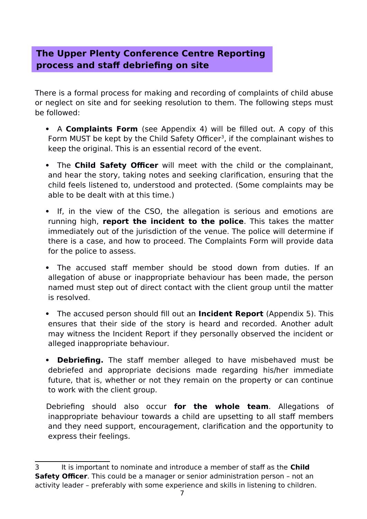## **The Upper Plenty Conference Centre Reporting process and staff debriefing on site**

There is a formal process for making and recording of complaints of child abuse or neglect on site and for seeking resolution to them. The following steps must be followed:

- <span id="page-6-0"></span> A **Complaints Form** (see Appendix 4) will be filled out. A copy of this Form MUST be kept by the Child Safety Officer<sup>[3](#page-6-1)</sup>, if the complainant wishes to keep the original. This is an essential record of the event.
- The **Child Safety Officer** will meet with the child or the complainant, and hear the story, taking notes and seeking clarification, ensuring that the child feels listened to, understood and protected. (Some complaints may be able to be dealt with at this time.)
- If, in the view of the CSO, the allegation is serious and emotions are running high, **report the incident to the police**. This takes the matter immediately out of the jurisdiction of the venue. The police will determine if there is a case, and how to proceed. The Complaints Form will provide data for the police to assess.
- The accused staff member should be stood down from duties. If an allegation of abuse or inappropriate behaviour has been made, the person named must step out of direct contact with the client group until the matter is resolved.
- The accused person should fill out an **Incident Report** (Appendix 5). This ensures that their side of the story is heard and recorded. Another adult may witness the Incident Report if they personally observed the incident or alleged inappropriate behaviour.
- **Debriefing.** The staff member alleged to have misbehaved must be debriefed and appropriate decisions made regarding his/her immediate future, that is, whether or not they remain on the property or can continue to work with the client group.

Debriefing should also occur **for the whole team**. Allegations of inappropriate behaviour towards a child are upsetting to all staff members and they need support, encouragement, clarification and the opportunity to express their feelings.

<span id="page-6-1"></span>[<sup>3</sup>](#page-6-0) It is important to nominate and introduce a member of staff as the **Child Safety Officer**. This could be a manager or senior administration person - not an activity leader – preferably with some experience and skills in listening to children.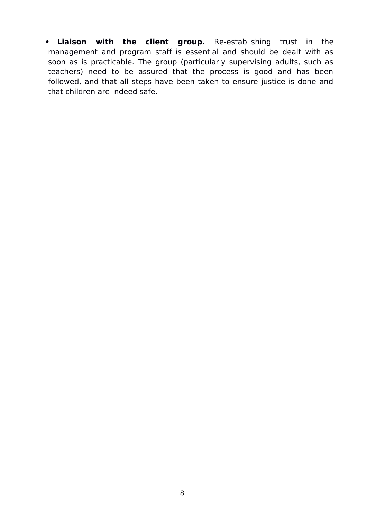**Liaison with the client group.** Re-establishing trust in the management and program staff is essential and should be dealt with as soon as is practicable. The group (particularly supervising adults, such as teachers) need to be assured that the process is good and has been followed, and that all steps have been taken to ensure justice is done and that children are indeed safe.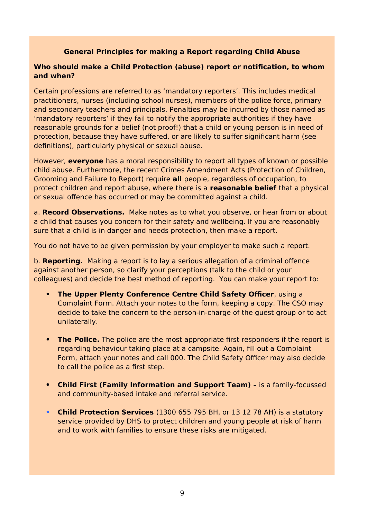#### **General Principles for making a Report regarding Child Abuse**

#### **Who should make a Child Protection (abuse) report or notification, to whom and when?**

Certain professions are referred to as 'mandatory reporters'. This includes medical practitioners, nurses (including school nurses), members of the police force, primary and secondary teachers and principals. Penalties may be incurred by those named as 'mandatory reporters' if they fail to notify the appropriate authorities if they have reasonable grounds for a belief (not proof!) that a child or young person is in need of protection, because they have suffered, or are likely to suffer significant harm (see definitions), particularly physical or sexual abuse.

However, **everyone** has a moral responsibility to report all types of known or possible child abuse. Furthermore, the recent Crimes Amendment Acts (Protection of Children, Grooming and Failure to Report) require **all** people, regardless of occupation, to protect children and report abuse, where there is a **reasonable belief** that a physical or sexual offence has occurred or may be committed against a child.

a. **Record Observations.** Make notes as to what you observe, or hear from or about a child that causes you concern for their safety and wellbeing. If you are reasonably sure that a child is in danger and needs protection, then make a report.

You do not have to be given permission by your employer to make such a report.

b. **Reporting.** Making a report is to lay a serious allegation of a criminal offence against another person, so clarify your perceptions (talk to the child or your colleagues) and decide the best method of reporting. You can make your report to:

- **The Upper Plenty Conference Centre Child Safety Officer**, using a Complaint Form. Attach your notes to the form, keeping a copy. The CSO may decide to take the concern to the person-in-charge of the guest group or to act unilaterally.
- **The Police.** The police are the most appropriate first responders if the report is regarding behaviour taking place at a campsite. Again, fill out a Complaint Form, attach your notes and call 000. The Child Safety Officer may also decide to call the police as a first step.
- **Child First (Family Information and Support Team) –** is a family-focussed and community-based intake and referral service.
- **Child Protection Services** (1300 655 795 BH, or 13 12 78 AH) is a statutory service provided by DHS to protect children and young people at risk of harm and to work with families to ensure these risks are mitigated.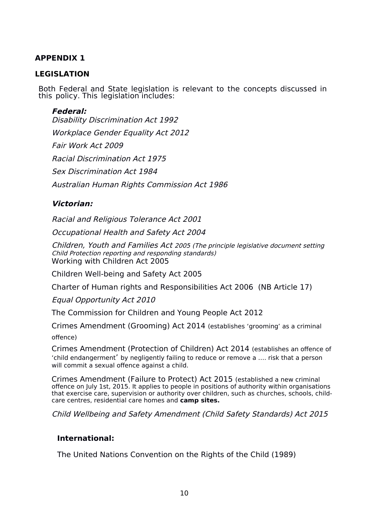## **APPENDIX 1**

#### **LEGISLATION**

Both Federal and State legislation is relevant to the concepts discussed in this policy. This legislation includes:

#### **Federal:**

Disability Discrimination Act 1992 Workplace Gender Equality Act 2012 Fair Work Act 2009 Racial Discrimination Act 1975 Sex Discrimination Act 1984 Australian Human Rights Commission Act 1986

#### **Victorian:**

Racial and Religious Tolerance Act 2001

Occupational Health and Safety Act 2004

Children, Youth and Families Act <sup>2005</sup> (The principle legislative document setting Child Protection reporting and responding standards) Working with Children Act 2005

Children Well-being and Safety Act 2005

Charter of Human rights and Responsibilities Act 2006 (NB Article 17)

Equal Opportunity Act 2010

The Commission for Children and Young People Act 2012

Crimes Amendment (Grooming) Act 2014 (establishes 'grooming' as a criminal

offence)

Crimes Amendment (Protection of Children) Act 2014 (establishes an offence of 'child endangerment' by negligently failing to reduce or remove a …. risk that a person will commit a sexual offence against a child.

Crimes Amendment (Failure to Protect) Act 2015 (established a new criminal offence on July 1st, 2015. It applies to people in positions of authority within organisations that exercise care, supervision or authority over children, such as churches, schools, childcare centres, residential care homes and **camp sites.**

Child Wellbeing and Safety Amendment (Child Safety Standards) Act 2015

#### **International:**

The United Nations Convention on the Rights of the Child (1989)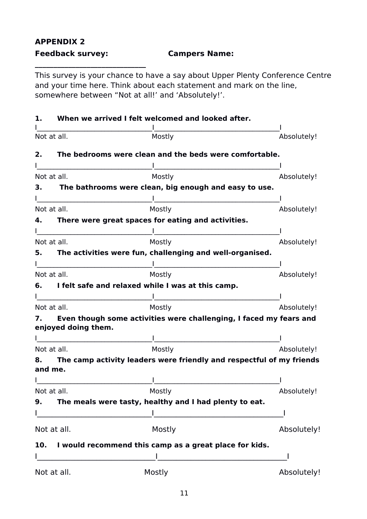## **APPENDIX 2 Feedback survey: Campers Name:**

**\_\_\_\_\_\_\_\_\_\_\_\_\_\_\_\_\_\_\_\_\_\_\_\_\_\_\_\_\_\_**

This survey is your chance to have a say about Upper Plenty Conference Centre and your time here. Think about each statement and mark on the line, somewhere between "Not at all!' and 'Absolutely!'.

| 1.                                                                                                                   | When we arrived I felt welcomed and looked after.                    |             |
|----------------------------------------------------------------------------------------------------------------------|----------------------------------------------------------------------|-------------|
| Not at all.                                                                                                          | Mostly                                                               | Absolutely! |
| 2.                                                                                                                   | The bedrooms were clean and the beds were comfortable.               |             |
| Not at all.                                                                                                          | Mostly                                                               |             |
| З.                                                                                                                   | The bathrooms were clean, big enough and easy to use.                | Absolutely! |
|                                                                                                                      |                                                                      |             |
| Not at all.                                                                                                          | Mostly                                                               | Absolutely! |
| 4.                                                                                                                   | There were great spaces for eating and activities.                   |             |
|                                                                                                                      |                                                                      |             |
| Not at all.                                                                                                          | Mostly                                                               | Absolutely! |
| 5.                                                                                                                   | The activities were fun, challenging and well-organised.             |             |
| Not at all.                                                                                                          | Mostly                                                               | Absolutely! |
|                                                                                                                      | I felt safe and relaxed while I was at this camp.                    |             |
|                                                                                                                      |                                                                      |             |
| Not at all.                                                                                                          | Mostly                                                               | Absolutely! |
| 7.<br>enjoyed doing them.                                                                                            | Even though some activities were challenging, I faced my fears and   |             |
|                                                                                                                      |                                                                      |             |
| Not at all.                                                                                                          | Mostly                                                               | Absolutely! |
| 8.<br>and me.                                                                                                        | The camp activity leaders were friendly and respectful of my friends |             |
|                                                                                                                      |                                                                      |             |
| Not at all.<br>9.                                                                                                    | Mostly<br>The meals were tasty, healthy and I had plenty to eat.     | Absolutely! |
| <u> 1980 - Johann Barn, mars ar breithinn ar breithinn ar breithinn ar breithinn ar breithinn ar breithinn ar br</u> |                                                                      |             |
| Not at all.                                                                                                          | Mostly                                                               | Absolutely! |
|                                                                                                                      | 10. I would recommend this camp as a great place for kids.           |             |
|                                                                                                                      |                                                                      |             |
| Not at all.                                                                                                          | Mostly                                                               | Absolutely! |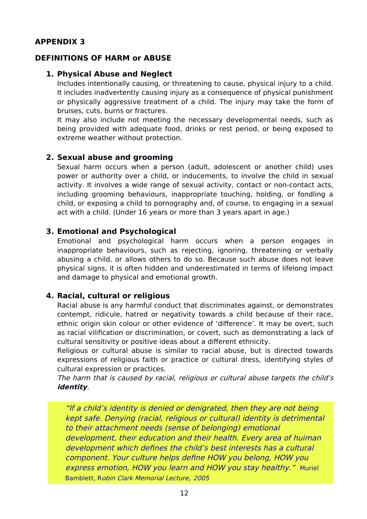#### **APPENDIX 3**

#### **DEFINITIONS OF HARM or ABUSE**

#### **1. Physical Abuse and Neglect**

Includes intentionally causing, or threatening to cause, physical injury to a child. It includes inadvertently causing injury as a consequence of physical punishment or physically aggressive treatment of a child. The injury may take the form of bruises, cuts, burns or fractures.

It may also include not meeting the necessary developmental needs, such as being provided with adequate food, drinks or rest period, or being exposed to extreme weather without protection.

#### **2. Sexual abuse and grooming**

Sexual harm occurs when a person (adult, adolescent or another child) uses power or authority over a child, or inducements, to involve the child in sexual activity. It involves a wide range of sexual activity, contact or non-contact acts, including grooming behaviours, inappropriate touching, holding, or fondling a child, or exposing a child to pornography and, of course, to engaging in a sexual act with a child. (Under 16 years or more than 3 years apart in age.)

#### **3. Emotional and Psychological**

Emotional and psychological harm occurs when a person engages in inappropriate behaviours, such as rejecting, ignoring, threatening or verbally abusing a child, or allows others to do so. Because such abuse does not leave physical signs, it is often hidden and underestimated in terms of lifelong impact and damage to physical and emotional growth.

#### **4. Racial, cultural or religious**

Racial abuse is any harmful conduct that discriminates against, or demonstrates contempt, ridicule, hatred or negativity towards a child because of their race, ethnic origin skin colour or other evidence of 'difference'. It may be overt, such as racial vilification or discrimination, or covert, such as demonstrating a lack of cultural sensitivity or positive ideas about a different ethnicity.

Religious or cultural abuse is similar to racial abuse, but is directed towards expressions of religious faith or practice or cultural dress, identifying styles of cultural expression or practices.

The harm that is caused by racial, religious or cultural abuse targets the child's **identity**.

"If a child's identity is denied or denigrated, then they are not being kept safe. Denying (racial, religious or cultural) identity is detrimental to their attachment needs (sense of belonging) emotional development, their education and their health. Every area of huiman development which defines the child's best interests has a cultural component. Your culture helps define HOW you belong, HOW you express emotion, HOW you learn and HOW you stay healthy." Muriel Bamblett, Robin Clark Memorial Lecture, 2005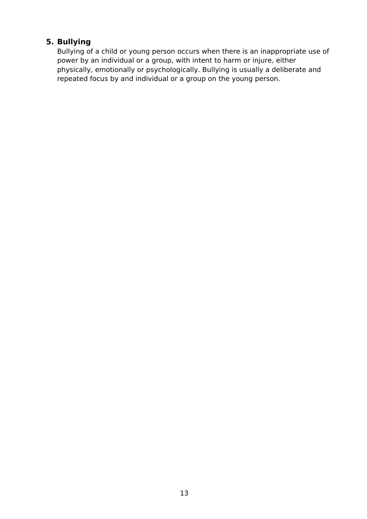## **5. Bullying**

Bullying of a child or young person occurs when there is an inappropriate use of power by an individual or a group, with intent to harm or injure, either physically, emotionally or psychologically. Bullying is usually a deliberate and repeated focus by and individual or a group on the young person.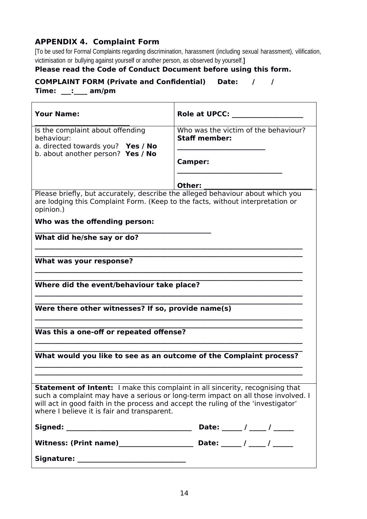## **APPENDIX 4. Complaint Form**

[To be used for Formal Complaints regarding discrimination, harassment (including sexual harassment), vilification, victimisation or bullying against yourself or another person, as observed by yourself.**]**

#### **Please read the Code of Conduct Document before using this form.**

## **COMPLAINT FORM (Private and Confidential) Date: / /**

**Time: \_\_\_:\_\_\_\_ am/pm**

| <b>Your Name:</b>                                                                                                                                                                                                                                                                                            | <b>Role at UPCC:</b>                                         |  |  |  |  |  |  |
|--------------------------------------------------------------------------------------------------------------------------------------------------------------------------------------------------------------------------------------------------------------------------------------------------------------|--------------------------------------------------------------|--|--|--|--|--|--|
| Is the complaint about offending<br>behaviour:<br>a. directed towards you? Yes / No                                                                                                                                                                                                                          | Who was the victim of the behaviour?<br><b>Staff member:</b> |  |  |  |  |  |  |
| b. about another person? Yes / No                                                                                                                                                                                                                                                                            | Camper:                                                      |  |  |  |  |  |  |
|                                                                                                                                                                                                                                                                                                              | Other:                                                       |  |  |  |  |  |  |
| Please briefly, but accurately, describe the alleged behaviour about which you<br>are lodging this Complaint Form. (Keep to the facts, without interpretation or<br>opinion.)                                                                                                                                |                                                              |  |  |  |  |  |  |
| Who was the offending person:                                                                                                                                                                                                                                                                                |                                                              |  |  |  |  |  |  |
| What did he/she say or do?                                                                                                                                                                                                                                                                                   |                                                              |  |  |  |  |  |  |
|                                                                                                                                                                                                                                                                                                              |                                                              |  |  |  |  |  |  |
| What was your response?                                                                                                                                                                                                                                                                                      |                                                              |  |  |  |  |  |  |
| Where did the event/behaviour take place?                                                                                                                                                                                                                                                                    |                                                              |  |  |  |  |  |  |
|                                                                                                                                                                                                                                                                                                              |                                                              |  |  |  |  |  |  |
| Were there other witnesses? If so, provide name(s)                                                                                                                                                                                                                                                           |                                                              |  |  |  |  |  |  |
|                                                                                                                                                                                                                                                                                                              |                                                              |  |  |  |  |  |  |
| Was this a one-off or repeated offense?                                                                                                                                                                                                                                                                      |                                                              |  |  |  |  |  |  |
| What would you like to see as an outcome of the Complaint process?                                                                                                                                                                                                                                           |                                                              |  |  |  |  |  |  |
|                                                                                                                                                                                                                                                                                                              |                                                              |  |  |  |  |  |  |
| <b>Statement of Intent:</b> I make this complaint in all sincerity, recognising that<br>such a complaint may have a serious or long-term impact on all those involved. I<br>will act in good faith in the process and accept the ruling of the 'investigator'<br>where I believe it is fair and transparent. |                                                              |  |  |  |  |  |  |
|                                                                                                                                                                                                                                                                                                              | Date: _____ / ____ / _____                                   |  |  |  |  |  |  |
|                                                                                                                                                                                                                                                                                                              |                                                              |  |  |  |  |  |  |
|                                                                                                                                                                                                                                                                                                              |                                                              |  |  |  |  |  |  |